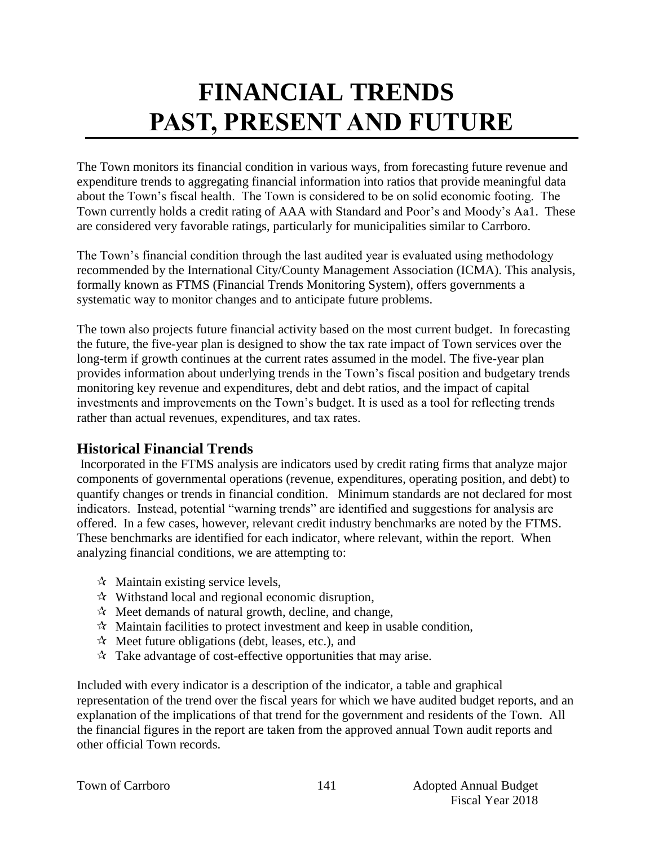# **FINANCIAL TRENDS PAST, PRESENT AND FUTURE**

The Town monitors its financial condition in various ways, from forecasting future revenue and expenditure trends to aggregating financial information into ratios that provide meaningful data about the Town's fiscal health. The Town is considered to be on solid economic footing. The Town currently holds a credit rating of AAA with Standard and Poor's and Moody's Aa1. These are considered very favorable ratings, particularly for municipalities similar to Carrboro.

The Town's financial condition through the last audited year is evaluated using methodology recommended by the International City/County Management Association (ICMA). This analysis, formally known as FTMS (Financial Trends Monitoring System), offers governments a systematic way to monitor changes and to anticipate future problems.

The town also projects future financial activity based on the most current budget. In forecasting the future, the five-year plan is designed to show the tax rate impact of Town services over the long-term if growth continues at the current rates assumed in the model. The five-year plan provides information about underlying trends in the Town's fiscal position and budgetary trends monitoring key revenue and expenditures, debt and debt ratios, and the impact of capital investments and improvements on the Town's budget. It is used as a tool for reflecting trends rather than actual revenues, expenditures, and tax rates.

# **Historical Financial Trends**

Incorporated in the FTMS analysis are indicators used by credit rating firms that analyze major components of governmental operations (revenue, expenditures, operating position, and debt) to quantify changes or trends in financial condition. Minimum standards are not declared for most indicators. Instead, potential "warning trends" are identified and suggestions for analysis are offered. In a few cases, however, relevant credit industry benchmarks are noted by the FTMS. These benchmarks are identified for each indicator, where relevant, within the report. When analyzing financial conditions, we are attempting to:

- $\forall$  Maintain existing service levels,
- $\mathcal{R}$  Withstand local and regional economic disruption,
- $\mathcal{R}$  Meet demands of natural growth, decline, and change,
- $\mathcal{R}$  Maintain facilities to protect investment and keep in usable condition,
- $\mathcal{R}$  Meet future obligations (debt, leases, etc.), and
- $\mathcal{R}$  Take advantage of cost-effective opportunities that may arise.

Included with every indicator is a description of the indicator, a table and graphical representation of the trend over the fiscal years for which we have audited budget reports, and an explanation of the implications of that trend for the government and residents of the Town. All the financial figures in the report are taken from the approved annual Town audit reports and other official Town records.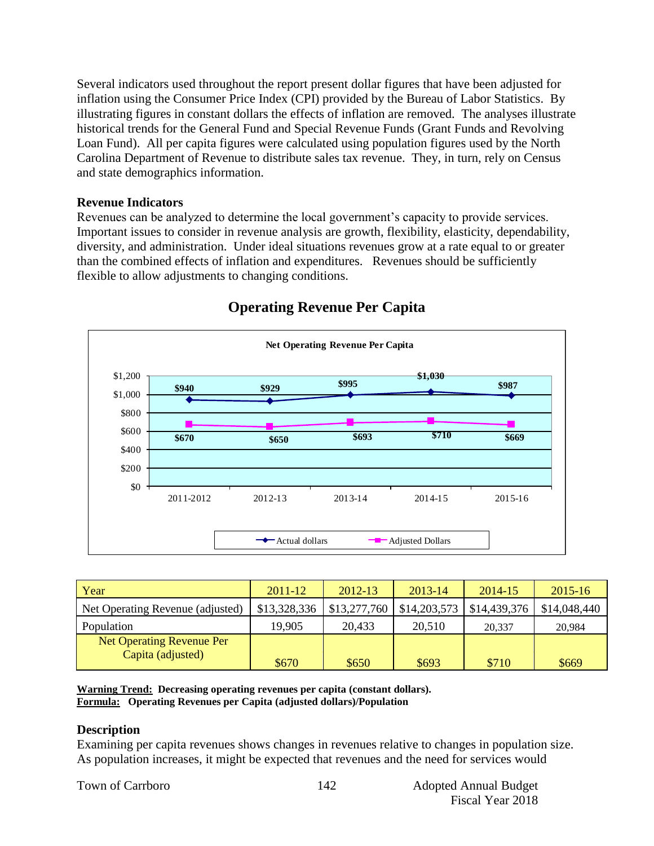Several indicators used throughout the report present dollar figures that have been adjusted for inflation using the Consumer Price Index (CPI) provided by the Bureau of Labor Statistics. By illustrating figures in constant dollars the effects of inflation are removed. The analyses illustrate historical trends for the General Fund and Special Revenue Funds (Grant Funds and Revolving Loan Fund). All per capita figures were calculated using population figures used by the North Carolina Department of Revenue to distribute sales tax revenue. They, in turn, rely on Census and state demographics information.

#### **Revenue Indicators**

Revenues can be analyzed to determine the local government's capacity to provide services. Important issues to consider in revenue analysis are growth, flexibility, elasticity, dependability, diversity, and administration. Under ideal situations revenues grow at a rate equal to or greater than the combined effects of inflation and expenditures. Revenues should be sufficiently flexible to allow adjustments to changing conditions.



# **Operating Revenue Per Capita**

| Year                                                  | $2011 - 12$  | 2012-13      | 2013-14      | 2014-15      | $2015 - 16$  |
|-------------------------------------------------------|--------------|--------------|--------------|--------------|--------------|
| Net Operating Revenue (adjusted)                      | \$13,328,336 | \$13,277,760 | \$14,203,573 | \$14,439,376 | \$14,048,440 |
| Population                                            | 19,905       | 20,433       | 20,510       | 20,337       | 20.984       |
| <b>Net Operating Revenue Per</b><br>Capita (adjusted) | \$670        | \$650        | \$693        | \$710        | \$669        |

**Warning Trend: Decreasing operating revenues per capita (constant dollars). Formula: Operating Revenues per Capita (adjusted dollars)/Population**

#### **Description**

Examining per capita revenues shows changes in revenues relative to changes in population size. As population increases, it might be expected that revenues and the need for services would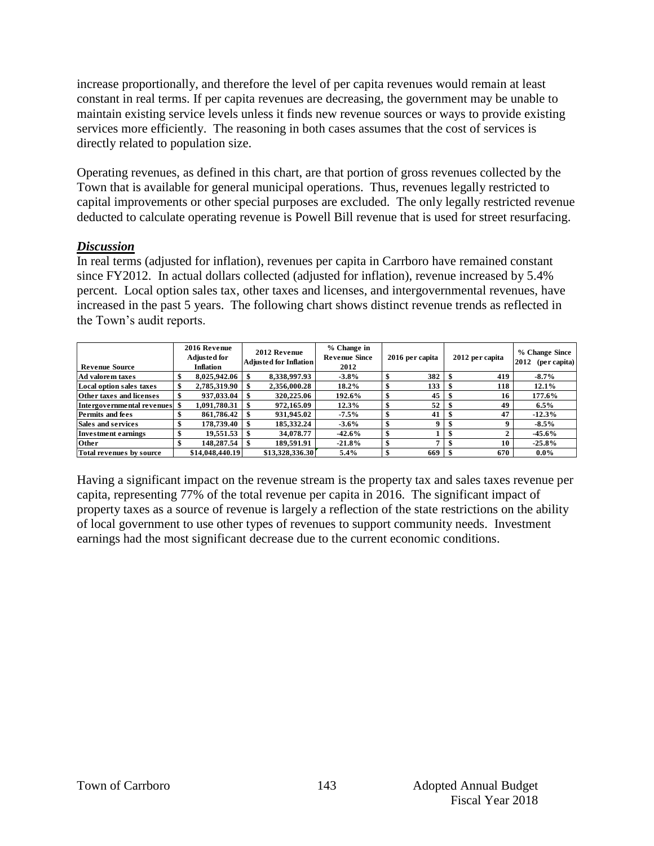increase proportionally, and therefore the level of per capita revenues would remain at least constant in real terms. If per capita revenues are decreasing, the government may be unable to maintain existing service levels unless it finds new revenue sources or ways to provide existing services more efficiently. The reasoning in both cases assumes that the cost of services is directly related to population size.

Operating revenues, as defined in this chart, are that portion of gross revenues collected by the Town that is available for general municipal operations. Thus, revenues legally restricted to capital improvements or other special purposes are excluded. The only legally restricted revenue deducted to calculate operating revenue is Powell Bill revenue that is used for street resurfacing.

#### *Discussion*

In real terms (adjusted for inflation), revenues per capita in Carrboro have remained constant since FY2012. In actual dollars collected (adjusted for inflation), revenue increased by 5.4% percent. Local option sales tax, other taxes and licenses, and intergovernmental revenues, have increased in the past 5 years. The following chart shows distinct revenue trends as reflected in the Town's audit reports.

| <b>Revenue Source</b>           | 2016 Revenue<br><b>Adjusted for</b><br><b>Inflation</b> | 2012 Revenue<br><b>Adjusted for Inflation</b> | % Change in<br><b>Revenue Since</b><br>2012 |    | 2016 per capita | 2012 per capita | % Change Since<br>2012<br>(per capita) |
|---------------------------------|---------------------------------------------------------|-----------------------------------------------|---------------------------------------------|----|-----------------|-----------------|----------------------------------------|
| Ad valorem taxes                | \$<br>8,025,942.06                                      | 8,338,997.93                                  | $-3.8%$                                     | \$ | 382             | 419             | $-8.7%$                                |
| Local option sales taxes        | 2,785,319.90                                            | 2,356,000.28                                  | 18.2%                                       | \$ | 133             | 118             | 12.1%                                  |
| <b>Other taxes and licenses</b> | 937,033.04                                              | 320,225.06                                    | 192.6%                                      | \$ | 45              | 16              | 177.6%                                 |
| Intergovernmental revenues \$   | 1,091,780.31                                            | 972,165.09                                    | 12.3%                                       | \$ | 52              | 49              | $6.5\%$                                |
| <b>Permits and fees</b>         | 861,786.42                                              | 931,945.02                                    | $-7.5\%$                                    | \$ | 41              | 47              | $-12.3%$                               |
| <b>Sales and services</b>       | 178,739.40                                              | 185.332.24                                    | $-3.6%$                                     | \$ | 9 <sub>1</sub>  | 9               | $-8.5\%$                               |
| <b>Investment earnings</b>      | 19,551.53                                               | 34,078.77                                     | $-42.6%$                                    | \$ |                 |                 | $-45.6%$                               |
| Other                           | 148,287.54                                              | 189.591.91                                    | $-21.8%$                                    | \$ |                 | 10              | $-25.8%$                               |
| Total revenues by source        | \$14,048,440.19                                         | \$13,328,336.30                               | 5.4%                                        | S  | 669             | 670             | $0.0\%$                                |

Having a significant impact on the revenue stream is the property tax and sales taxes revenue per capita, representing 77% of the total revenue per capita in 2016. The significant impact of property taxes as a source of revenue is largely a reflection of the state restrictions on the ability of local government to use other types of revenues to support community needs. Investment earnings had the most significant decrease due to the current economic conditions.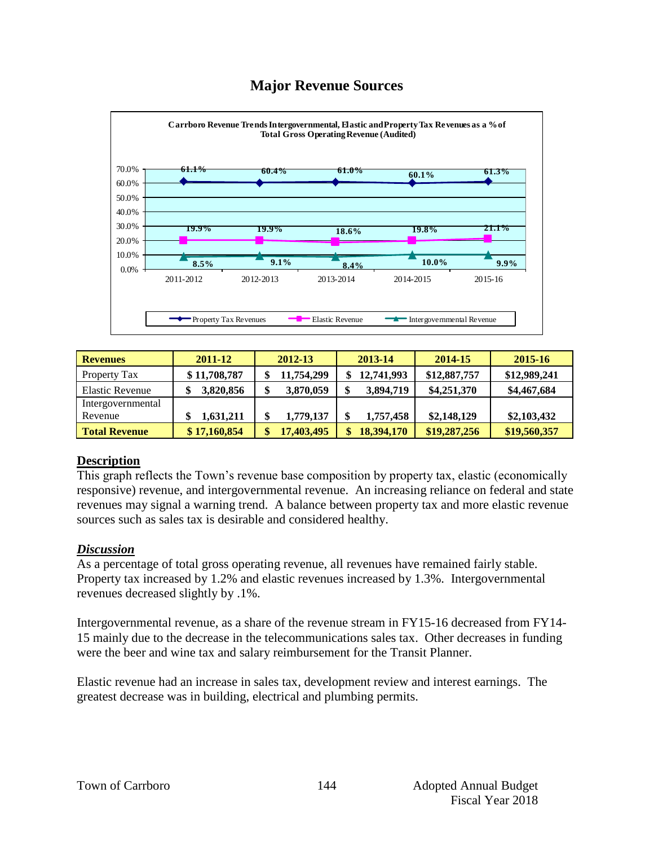# **Major Revenue Sources**



| <b>Revenues</b>        | 2011-12      | 2012-13    | 2013-14    | 2014-15      | 2015-16      |
|------------------------|--------------|------------|------------|--------------|--------------|
| Property Tax           | \$11,708,787 | 11,754,299 | 12,741,993 | \$12,887,757 | \$12,989,241 |
| <b>Elastic Revenue</b> | 3,820,856    | 3,870,059  | 3,894,719  | \$4,251,370  | \$4,467,684  |
| Intergovernmental      |              |            |            |              |              |
| Revenue                | 1,631,211    | 1,779,137  | 1,757,458  | \$2,148,129  | \$2,103,432  |
| <b>Total Revenue</b>   | \$17,160,854 | 17,403,495 | 18,394,170 | \$19,287,256 | \$19,560,357 |

#### **Description**

This graph reflects the Town's revenue base composition by property tax, elastic (economically responsive) revenue, and intergovernmental revenue. An increasing reliance on federal and state revenues may signal a warning trend. A balance between property tax and more elastic revenue sources such as sales tax is desirable and considered healthy.

#### *Discussion*

As a percentage of total gross operating revenue, all revenues have remained fairly stable. Property tax increased by 1.2% and elastic revenues increased by 1.3%. Intergovernmental revenues decreased slightly by .1%.

Intergovernmental revenue, as a share of the revenue stream in FY15-16 decreased from FY14- 15 mainly due to the decrease in the telecommunications sales tax. Other decreases in funding were the beer and wine tax and salary reimbursement for the Transit Planner.

Elastic revenue had an increase in sales tax, development review and interest earnings. The greatest decrease was in building, electrical and plumbing permits.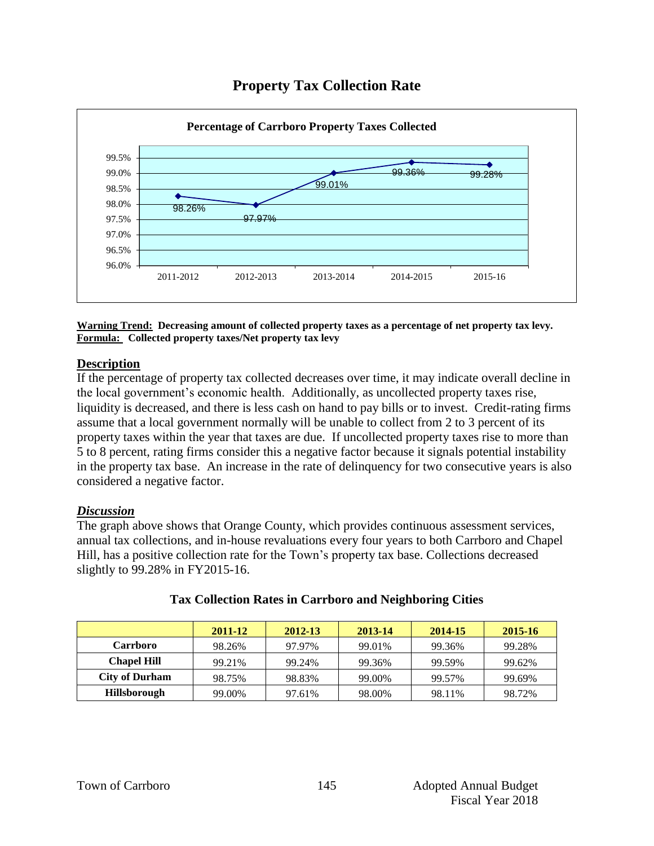



**Warning Trend: Decreasing amount of collected property taxes as a percentage of net property tax levy. Formula: Collected property taxes/Net property tax levy**

#### **Description**

If the percentage of property tax collected decreases over time, it may indicate overall decline in the local government's economic health. Additionally, as uncollected property taxes rise, liquidity is decreased, and there is less cash on hand to pay bills or to invest. Credit-rating firms assume that a local government normally will be unable to collect from 2 to 3 percent of its property taxes within the year that taxes are due. If uncollected property taxes rise to more than 5 to 8 percent, rating firms consider this a negative factor because it signals potential instability in the property tax base. An increase in the rate of delinquency for two consecutive years is also considered a negative factor.

#### *Discussion*

The graph above shows that Orange County, which provides continuous assessment services, annual tax collections, and in-house revaluations every four years to both Carrboro and Chapel Hill, has a positive collection rate for the Town's property tax base. Collections decreased slightly to 99.28% in FY2015-16.

|                       | 2011-12 | 2012-13 | 2013-14 | 2014-15 | 2015-16 |
|-----------------------|---------|---------|---------|---------|---------|
| <b>Carrboro</b>       | 98.26%  | 97.97%  | 99.01%  | 99.36%  | 99.28%  |
| <b>Chapel Hill</b>    | 99.21%  | 99.24%  | 99.36%  | 99.59%  | 99.62%  |
| <b>City of Durham</b> | 98.75%  | 98.83%  | 99.00%  | 99.57%  | 99.69%  |
| Hillsborough          | 99.00%  | 97.61%  | 98.00%  | 98.11%  | 98.72%  |

#### **Tax Collection Rates in Carrboro and Neighboring Cities**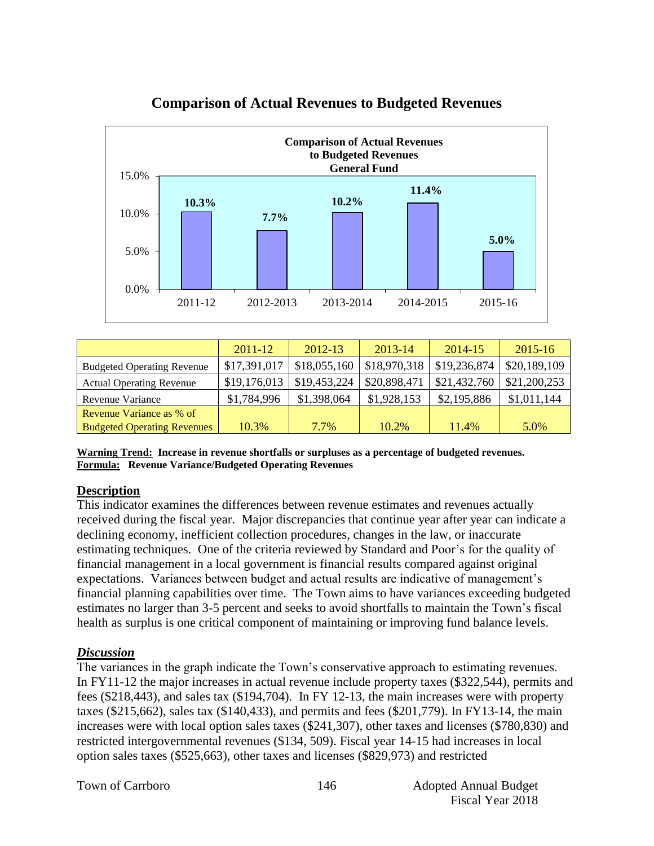

# **Comparison of Actual Revenues to Budgeted Revenues**

|                                    | $2011 - 12$  | 2012-13      | 2013-14      | 2014-15      | $2015 - 16$  |
|------------------------------------|--------------|--------------|--------------|--------------|--------------|
| <b>Budgeted Operating Revenue</b>  | \$17,391,017 | \$18,055,160 | \$18,970,318 | \$19,236,874 | \$20,189,109 |
| <b>Actual Operating Revenue</b>    | \$19,176,013 | \$19,453,224 | \$20,898,471 | \$21,432,760 | \$21,200,253 |
| Revenue Variance                   | \$1,784,996  | \$1,398,064  | \$1,928,153  | \$2,195,886  | \$1,011,144  |
| Revenue Variance as % of           |              |              |              |              |              |
| <b>Budgeted Operating Revenues</b> | 10.3%        | 7.7%         | 10.2%        | 11.4%        | 5.0%         |

**Warning Trend: Increase in revenue shortfalls or surpluses as a percentage of budgeted revenues. Formula: Revenue Variance/Budgeted Operating Revenues**

#### **Description**

This indicator examines the differences between revenue estimates and revenues actually received during the fiscal year. Major discrepancies that continue year after year can indicate a declining economy, inefficient collection procedures, changes in the law, or inaccurate estimating techniques. One of the criteria reviewed by Standard and Poor's for the quality of financial management in a local government is financial results compared against original expectations. Variances between budget and actual results are indicative of management's financial planning capabilities over time. The Town aims to have variances exceeding budgeted estimates no larger than 3-5 percent and seeks to avoid shortfalls to maintain the Town's fiscal health as surplus is one critical component of maintaining or improving fund balance levels.

#### *Discussion*

The variances in the graph indicate the Town's conservative approach to estimating revenues. In FY11-12 the major increases in actual revenue include property taxes (\$322,544), permits and fees (\$218,443), and sales tax (\$194,704). In FY 12-13, the main increases were with property taxes (\$215,662), sales tax (\$140,433), and permits and fees (\$201,779). In FY13-14, the main increases were with local option sales taxes (\$241,307), other taxes and licenses (\$780,830) and restricted intergovernmental revenues (\$134, 509). Fiscal year 14-15 had increases in local option sales taxes (\$525,663), other taxes and licenses (\$829,973) and restricted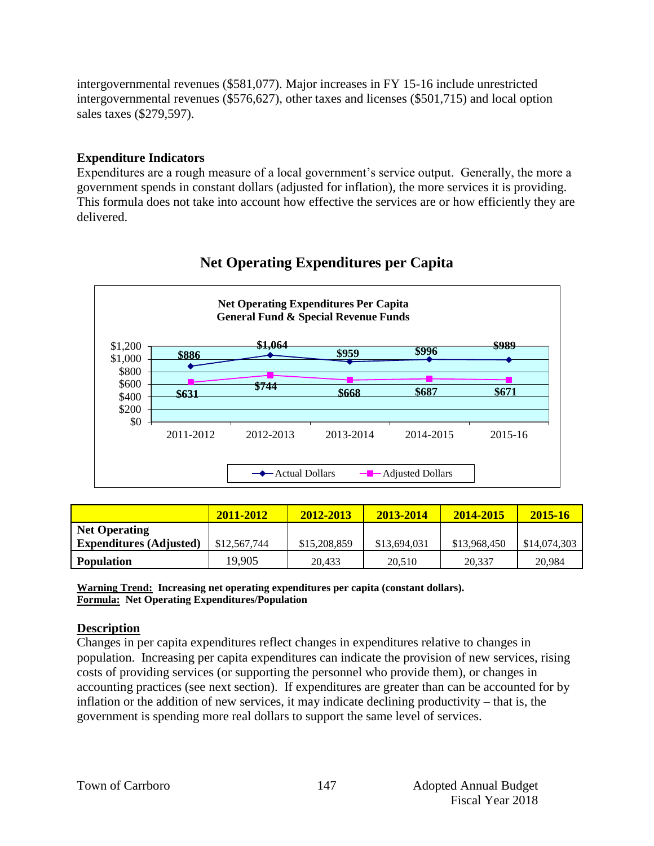intergovernmental revenues (\$581,077). Major increases in FY 15-16 include unrestricted intergovernmental revenues (\$576,627), other taxes and licenses (\$501,715) and local option sales taxes (\$279,597).

#### **Expenditure Indicators**

Expenditures are a rough measure of a local government's service output. Generally, the more a government spends in constant dollars (adjusted for inflation), the more services it is providing. This formula does not take into account how effective the services are or how efficiently they are delivered.



# **Net Operating Expenditures per Capita**

|                                | 2011-2012    | 2012-2013    | 2013-2014    | 2014-2015    | 2015-16      |
|--------------------------------|--------------|--------------|--------------|--------------|--------------|
| <b>Net Operating</b>           |              |              |              |              |              |
| <b>Expenditures (Adjusted)</b> | \$12,567,744 | \$15,208,859 | \$13,694,031 | \$13,968,450 | \$14,074,303 |
| <b>Population</b>              | 19.905       | 20.433       | 20.510       | 20,337       | 20,984       |

**Warning Trend: Increasing net operating expenditures per capita (constant dollars). Formula: Net Operating Expenditures/Population**

#### **Description**

Changes in per capita expenditures reflect changes in expenditures relative to changes in population. Increasing per capita expenditures can indicate the provision of new services, rising costs of providing services (or supporting the personnel who provide them), or changes in accounting practices (see next section). If expenditures are greater than can be accounted for by inflation or the addition of new services, it may indicate declining productivity – that is, the government is spending more real dollars to support the same level of services.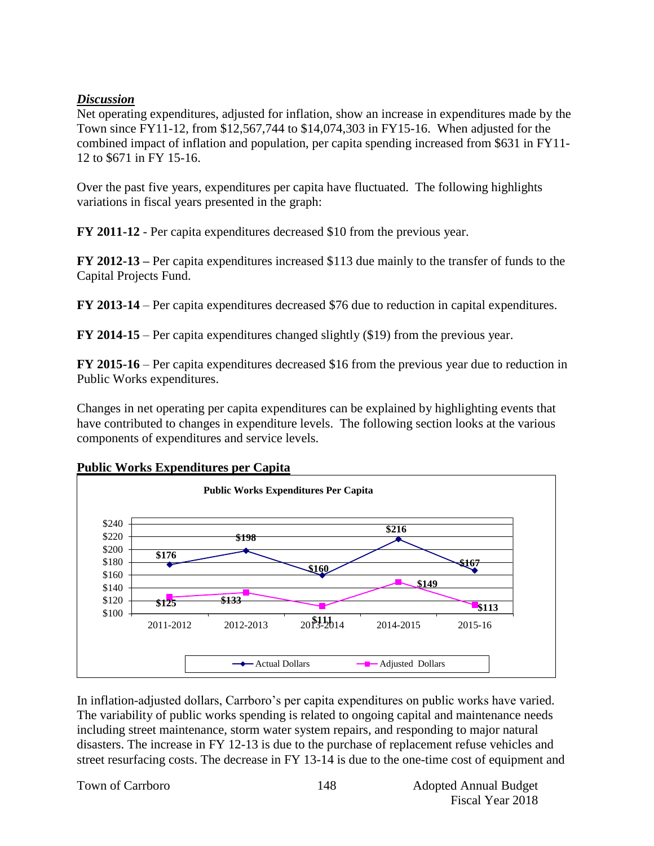#### *Discussion*

Net operating expenditures, adjusted for inflation, show an increase in expenditures made by the Town since FY11-12, from \$12,567,744 to \$14,074,303 in FY15-16. When adjusted for the combined impact of inflation and population, per capita spending increased from \$631 in FY11- 12 to \$671 in FY 15-16.

Over the past five years, expenditures per capita have fluctuated. The following highlights variations in fiscal years presented in the graph:

**FY 2011-12** - Per capita expenditures decreased \$10 from the previous year.

**FY 2012-13 –** Per capita expenditures increased \$113 due mainly to the transfer of funds to the Capital Projects Fund.

**FY 2013-14** – Per capita expenditures decreased \$76 due to reduction in capital expenditures.

**FY 2014-15** – Per capita expenditures changed slightly (\$19) from the previous year.

**FY 2015-16** – Per capita expenditures decreased \$16 from the previous year due to reduction in Public Works expenditures.

Changes in net operating per capita expenditures can be explained by highlighting events that have contributed to changes in expenditure levels. The following section looks at the various components of expenditures and service levels.



#### **Public Works Expenditures per Capita**

In inflation-adjusted dollars, Carrboro's per capita expenditures on public works have varied. The variability of public works spending is related to ongoing capital and maintenance needs including street maintenance, storm water system repairs, and responding to major natural disasters. The increase in FY 12-13 is due to the purchase of replacement refuse vehicles and street resurfacing costs. The decrease in FY 13-14 is due to the one-time cost of equipment and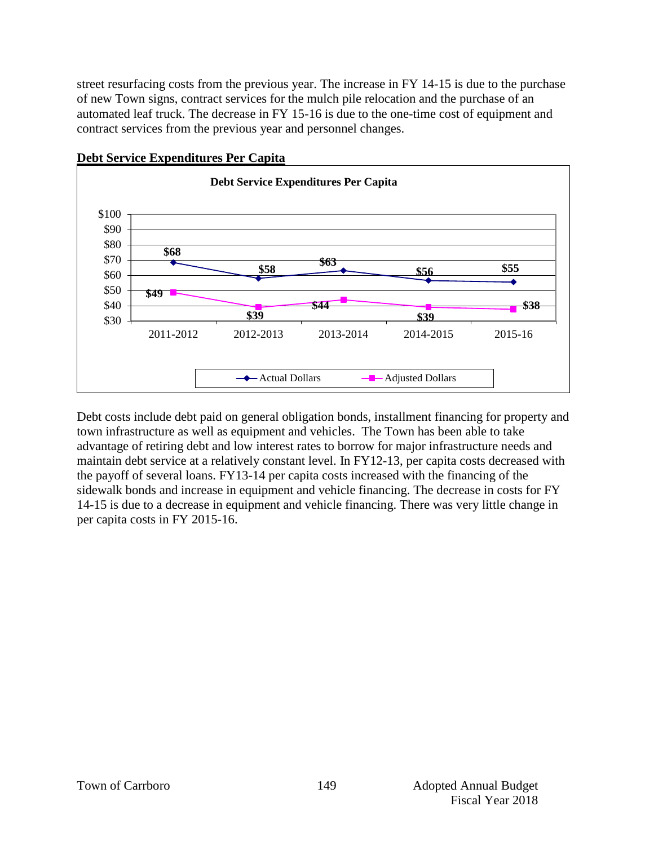street resurfacing costs from the previous year. The increase in FY 14-15 is due to the purchase of new Town signs, contract services for the mulch pile relocation and the purchase of an automated leaf truck. The decrease in FY 15-16 is due to the one-time cost of equipment and contract services from the previous year and personnel changes.



#### **Debt Service Expenditures Per Capita**

Debt costs include debt paid on general obligation bonds, installment financing for property and town infrastructure as well as equipment and vehicles. The Town has been able to take advantage of retiring debt and low interest rates to borrow for major infrastructure needs and maintain debt service at a relatively constant level. In FY12-13, per capita costs decreased with the payoff of several loans. FY13-14 per capita costs increased with the financing of the sidewalk bonds and increase in equipment and vehicle financing. The decrease in costs for FY 14-15 is due to a decrease in equipment and vehicle financing. There was very little change in per capita costs in FY 2015-16.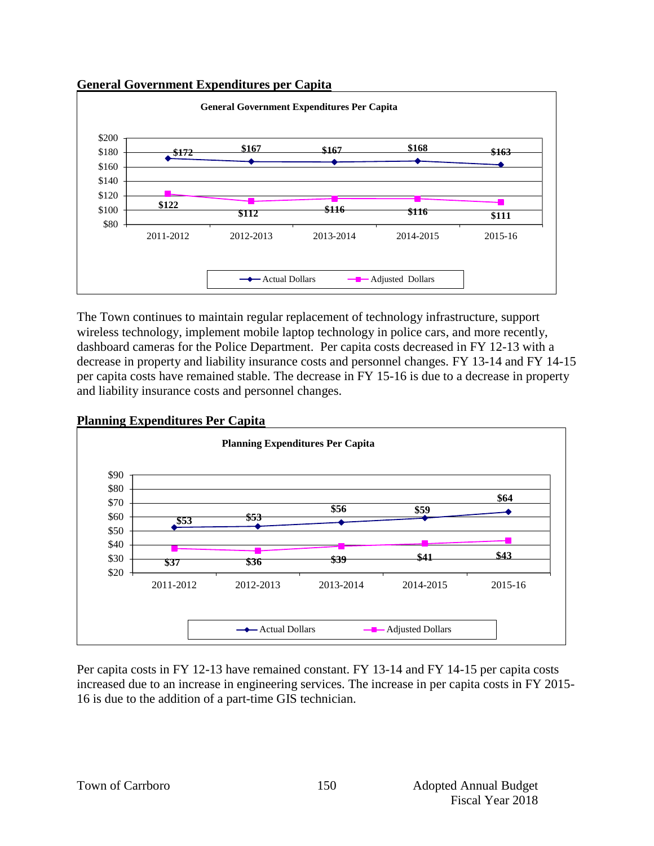#### **General Government Expenditures per Capita**



The Town continues to maintain regular replacement of technology infrastructure, support wireless technology, implement mobile laptop technology in police cars, and more recently, dashboard cameras for the Police Department. Per capita costs decreased in FY 12-13 with a decrease in property and liability insurance costs and personnel changes. FY 13-14 and FY 14-15 per capita costs have remained stable. The decrease in FY 15-16 is due to a decrease in property and liability insurance costs and personnel changes.



Per capita costs in FY 12-13 have remained constant. FY 13-14 and FY 14-15 per capita costs increased due to an increase in engineering services. The increase in per capita costs in FY 2015- 16 is due to the addition of a part-time GIS technician.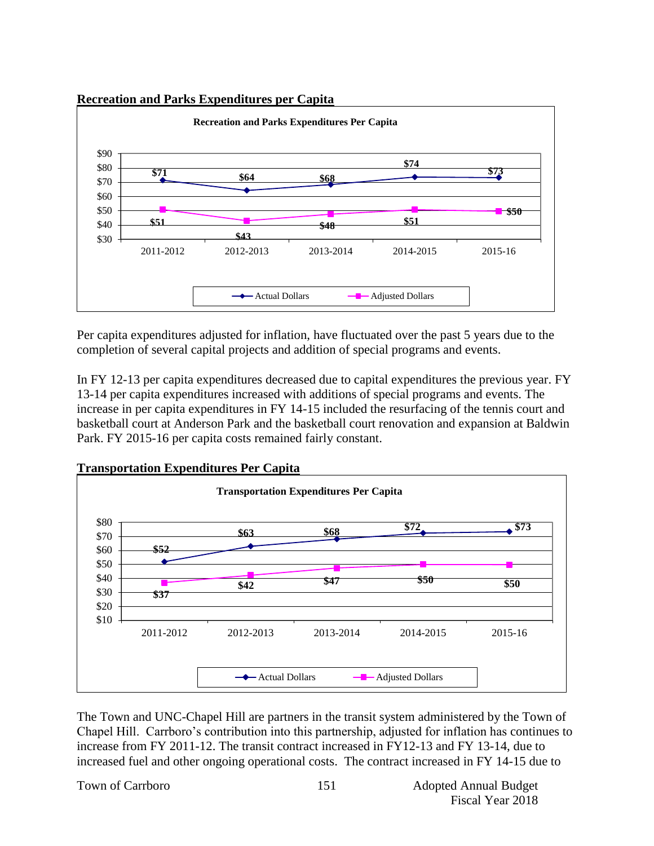#### **Recreation and Parks Expenditures per Capita**



Per capita expenditures adjusted for inflation, have fluctuated over the past 5 years due to the completion of several capital projects and addition of special programs and events.

In FY 12-13 per capita expenditures decreased due to capital expenditures the previous year. FY 13-14 per capita expenditures increased with additions of special programs and events. The increase in per capita expenditures in FY 14-15 included the resurfacing of the tennis court and basketball court at Anderson Park and the basketball court renovation and expansion at Baldwin Park. FY 2015-16 per capita costs remained fairly constant.



The Town and UNC-Chapel Hill are partners in the transit system administered by the Town of Chapel Hill. Carrboro's contribution into this partnership, adjusted for inflation has continues to increase from FY 2011-12. The transit contract increased in FY12-13 and FY 13-14, due to increased fuel and other ongoing operational costs. The contract increased in FY 14-15 due to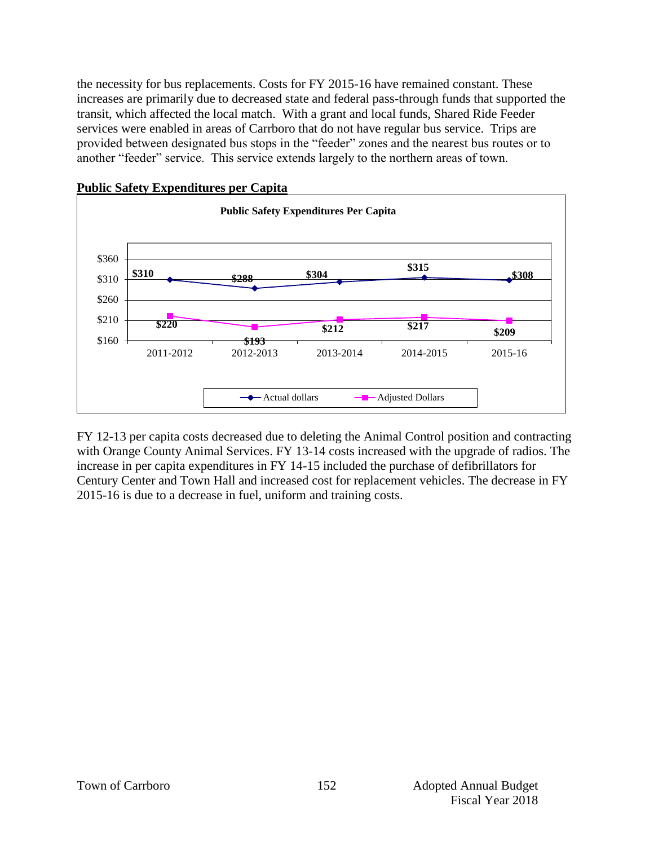the necessity for bus replacements. Costs for FY 2015-16 have remained constant. These increases are primarily due to decreased state and federal pass-through funds that supported the transit, which affected the local match. With a grant and local funds, Shared Ride Feeder services were enabled in areas of Carrboro that do not have regular bus service. Trips are provided between designated bus stops in the "feeder" zones and the nearest bus routes or to another "feeder" service. This service extends largely to the northern areas of town.



FY 12-13 per capita costs decreased due to deleting the Animal Control position and contracting with Orange County Animal Services. FY 13-14 costs increased with the upgrade of radios. The increase in per capita expenditures in FY 14-15 included the purchase of defibrillators for Century Center and Town Hall and increased cost for replacement vehicles. The decrease in FY 2015-16 is due to a decrease in fuel, uniform and training costs.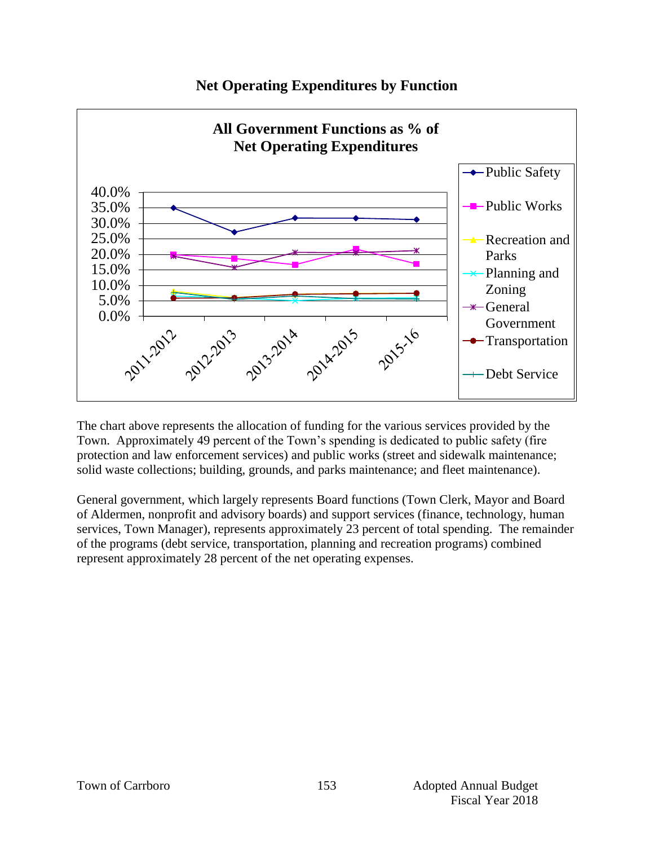

# **Net Operating Expenditures by Function**

The chart above represents the allocation of funding for the various services provided by the Town. Approximately 49 percent of the Town's spending is dedicated to public safety (fire protection and law enforcement services) and public works (street and sidewalk maintenance; solid waste collections; building, grounds, and parks maintenance; and fleet maintenance).

General government, which largely represents Board functions (Town Clerk, Mayor and Board of Aldermen, nonprofit and advisory boards) and support services (finance, technology, human services, Town Manager), represents approximately 23 percent of total spending. The remainder of the programs (debt service, transportation, planning and recreation programs) combined represent approximately 28 percent of the net operating expenses.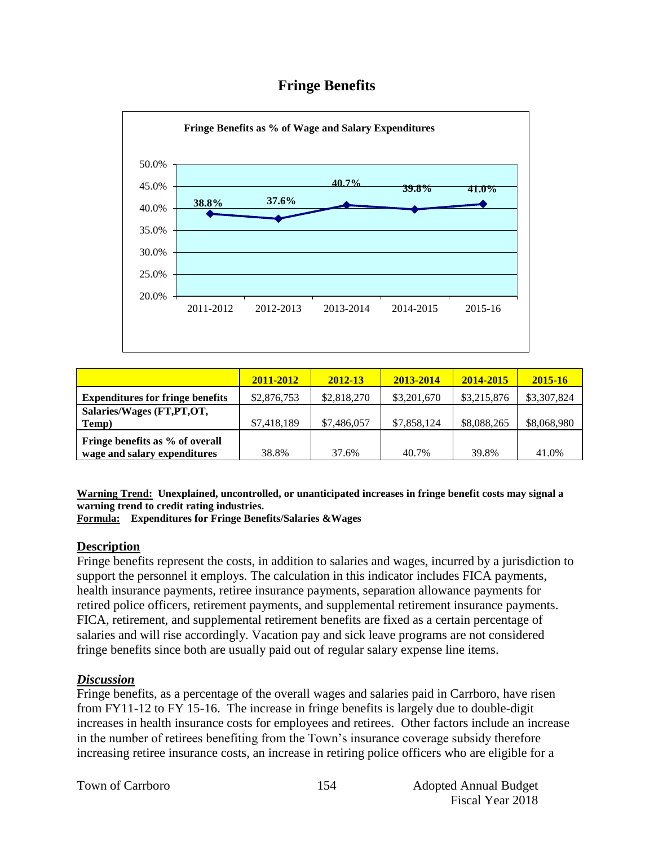# **Fringe Benefits**



|                                         | 2011-2012   | 2012-13     | 2013-2014   | 2014-2015   | 2015-16     |
|-----------------------------------------|-------------|-------------|-------------|-------------|-------------|
| <b>Expenditures for fringe benefits</b> | \$2,876,753 | \$2,818,270 | \$3,201,670 | \$3,215,876 | \$3,307,824 |
| Salaries/Wages (FT,PT,OT,               |             |             |             |             |             |
| Temp)                                   | \$7,418,189 | \$7,486,057 | \$7,858,124 | \$8,088,265 | \$8,068,980 |
| Fringe benefits as % of overall         |             |             |             |             |             |
| wage and salary expenditures            | 38.8%       | 37.6%       | 40.7%       | 39.8%       | 41.0%       |

**Warning Trend: Unexplained, uncontrolled, or unanticipated increases in fringe benefit costs may signal a warning trend to credit rating industries.**

**Formula: Expenditures for Fringe Benefits/Salaries &Wages** 

#### **Description**

Fringe benefits represent the costs, in addition to salaries and wages, incurred by a jurisdiction to support the personnel it employs. The calculation in this indicator includes FICA payments, health insurance payments, retiree insurance payments, separation allowance payments for retired police officers, retirement payments, and supplemental retirement insurance payments. FICA, retirement, and supplemental retirement benefits are fixed as a certain percentage of salaries and will rise accordingly. Vacation pay and sick leave programs are not considered fringe benefits since both are usually paid out of regular salary expense line items.

#### *Discussion*

Fringe benefits, as a percentage of the overall wages and salaries paid in Carrboro, have risen from FY11-12 to FY 15-16. The increase in fringe benefits is largely due to double-digit increases in health insurance costs for employees and retirees. Other factors include an increase in the number of retirees benefiting from the Town's insurance coverage subsidy therefore increasing retiree insurance costs, an increase in retiring police officers who are eligible for a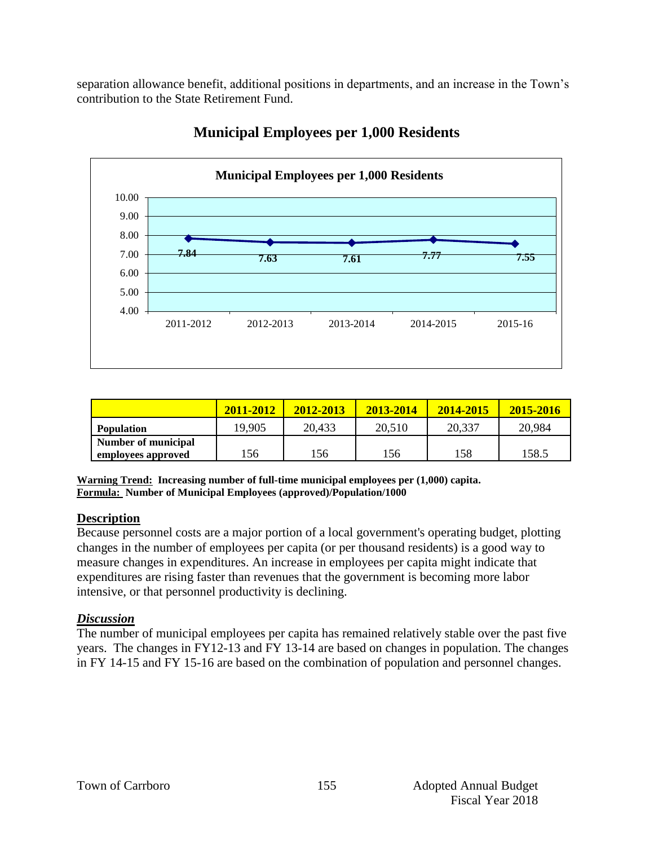separation allowance benefit, additional positions in departments, and an increase in the Town's contribution to the State Retirement Fund.



# **Municipal Employees per 1,000 Residents**

|                     | 2011-2012 | 2012-2013 | 2013-2014 | 2014-2015 | 2015-2016 |
|---------------------|-----------|-----------|-----------|-----------|-----------|
| <b>Population</b>   | 19,905    | 20,433    | 20,510    | 20,337    | 20,984    |
| Number of municipal |           |           |           |           |           |
| employees approved  | 156       | .56       | 156       | 158       | 158.5     |

**Warning Trend: Increasing number of full-time municipal employees per (1,000) capita. Formula: Number of Municipal Employees (approved)/Population/1000**

#### **Description**

Because personnel costs are a major portion of a local government's operating budget, plotting changes in the number of employees per capita (or per thousand residents) is a good way to measure changes in expenditures. An increase in employees per capita might indicate that expenditures are rising faster than revenues that the government is becoming more labor intensive, or that personnel productivity is declining.

#### *Discussion*

The number of municipal employees per capita has remained relatively stable over the past five years. The changes in FY12-13 and FY 13-14 are based on changes in population. The changes in FY 14-15 and FY 15-16 are based on the combination of population and personnel changes.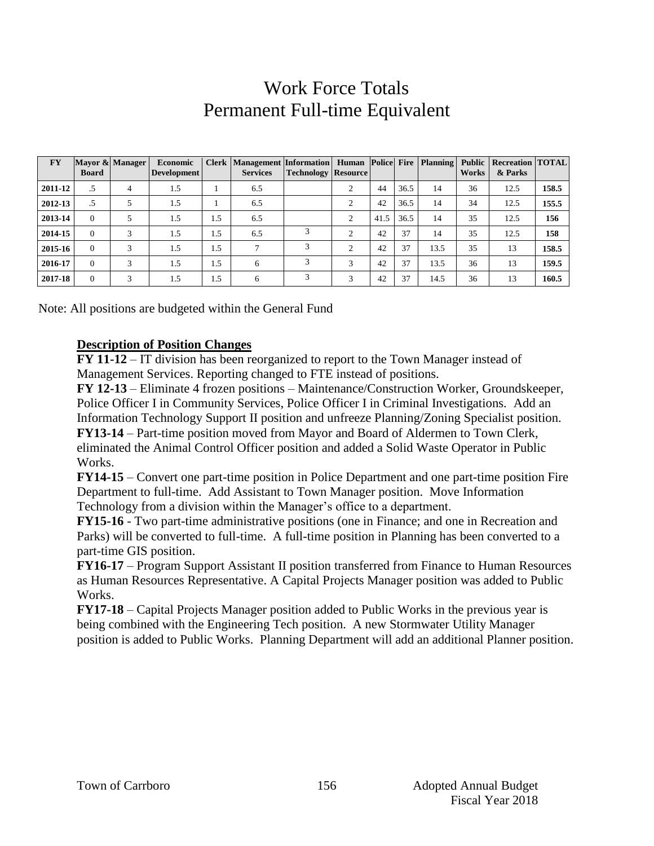# Work Force Totals Permanent Full-time Equivalent

| <b>FY</b> | <b>Board</b> | Mayor & Manager | Economic<br><b>Development</b> |     | Clerk   Management   Information   Human   Police   Fire   Planning  <br><b>Services</b> | <b>Technology Resource</b> |                |      |      |      | Public  <br>Works | <b>Recreation TOTAL</b><br>& Parks |       |
|-----------|--------------|-----------------|--------------------------------|-----|------------------------------------------------------------------------------------------|----------------------------|----------------|------|------|------|-------------------|------------------------------------|-------|
| 2011-12   | .5           | 4               | 1.5                            |     | 6.5                                                                                      |                            | 2              | 44   | 36.5 | 14   | 36                | 12.5                               | 158.5 |
| 2012-13   | .5           |                 | 1.5                            |     | 6.5                                                                                      |                            | $\overline{2}$ | 42   | 36.5 | 14   | 34                | 12.5                               | 155.5 |
| 2013-14   | $\Omega$     |                 | 1.5                            | 1.5 | 6.5                                                                                      |                            | $\overline{c}$ | 41.5 | 36.5 | 14   | 35                | 12.5                               | 156   |
| 2014-15   | $\Omega$     | 3               | 1.5                            | 1.5 | 6.5                                                                                      |                            | 2              | 42   | 37   | 14   | 35                | 12.5                               | 158   |
| 2015-16   | $\Omega$     | 3               | 1.5                            | 1.5 | $\mathcal{L}$                                                                            | 3                          | $\overline{2}$ | 42   | 37   | 13.5 | 35                | 13                                 | 158.5 |
| 2016-17   | $\Omega$     | 3               | 1.5                            | 1.5 | 6                                                                                        | 3                          | 3              | 42   | 37   | 13.5 | 36                | 13                                 | 159.5 |
| 2017-18   | $\Omega$     | 3               | 1.5                            | 1.5 | 6                                                                                        | 3                          | 3              | 42   | 37   | 14.5 | 36                | 13                                 | 160.5 |

Note: All positions are budgeted within the General Fund

#### **Description of Position Changes**

**FY 11-12** – IT division has been reorganized to report to the Town Manager instead of Management Services. Reporting changed to FTE instead of positions.

**FY 12-13** – Eliminate 4 frozen positions – Maintenance/Construction Worker, Groundskeeper, Police Officer I in Community Services, Police Officer I in Criminal Investigations. Add an Information Technology Support II position and unfreeze Planning/Zoning Specialist position. **FY13-14** – Part-time position moved from Mayor and Board of Aldermen to Town Clerk, eliminated the Animal Control Officer position and added a Solid Waste Operator in Public Works.

**FY14-15** – Convert one part-time position in Police Department and one part-time position Fire Department to full-time. Add Assistant to Town Manager position. Move Information Technology from a division within the Manager's office to a department.

**FY15-16** - Two part-time administrative positions (one in Finance; and one in Recreation and Parks) will be converted to full-time. A full-time position in Planning has been converted to a part-time GIS position.

**FY16-17** – Program Support Assistant II position transferred from Finance to Human Resources as Human Resources Representative. A Capital Projects Manager position was added to Public Works.

**FY17-18** – Capital Projects Manager position added to Public Works in the previous year is being combined with the Engineering Tech position. A new Stormwater Utility Manager position is added to Public Works. Planning Department will add an additional Planner position.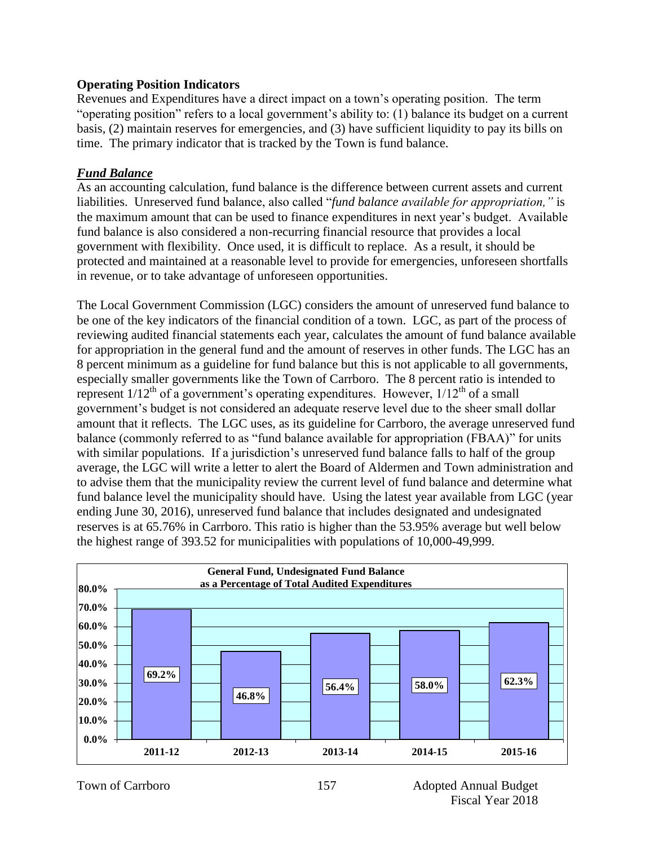#### **Operating Position Indicators**

Revenues and Expenditures have a direct impact on a town's operating position. The term "operating position" refers to a local government's ability to: (1) balance its budget on a current basis, (2) maintain reserves for emergencies, and (3) have sufficient liquidity to pay its bills on time. The primary indicator that is tracked by the Town is fund balance.

#### *Fund Balance*

As an accounting calculation, fund balance is the difference between current assets and current liabilities. Unreserved fund balance, also called "*fund balance available for appropriation,"* is the maximum amount that can be used to finance expenditures in next year's budget. Available fund balance is also considered a non-recurring financial resource that provides a local government with flexibility. Once used, it is difficult to replace. As a result, it should be protected and maintained at a reasonable level to provide for emergencies, unforeseen shortfalls in revenue, or to take advantage of unforeseen opportunities.

The Local Government Commission (LGC) considers the amount of unreserved fund balance to be one of the key indicators of the financial condition of a town. LGC, as part of the process of reviewing audited financial statements each year, calculates the amount of fund balance available for appropriation in the general fund and the amount of reserves in other funds. The LGC has an 8 percent minimum as a guideline for fund balance but this is not applicable to all governments, especially smaller governments like the Town of Carrboro. The 8 percent ratio is intended to represent  $1/12^{th}$  of a government's operating expenditures. However,  $1/12^{th}$  of a small government's budget is not considered an adequate reserve level due to the sheer small dollar amount that it reflects. The LGC uses, as its guideline for Carrboro, the average unreserved fund balance (commonly referred to as "fund balance available for appropriation (FBAA)" for units with similar populations. If a jurisdiction's unreserved fund balance falls to half of the group average, the LGC will write a letter to alert the Board of Aldermen and Town administration and to advise them that the municipality review the current level of fund balance and determine what fund balance level the municipality should have. Using the latest year available from LGC (year ending June 30, 2016), unreserved fund balance that includes designated and undesignated reserves is at 65.76% in Carrboro. This ratio is higher than the 53.95% average but well below the highest range of 393.52 for municipalities with populations of 10,000-49,999.

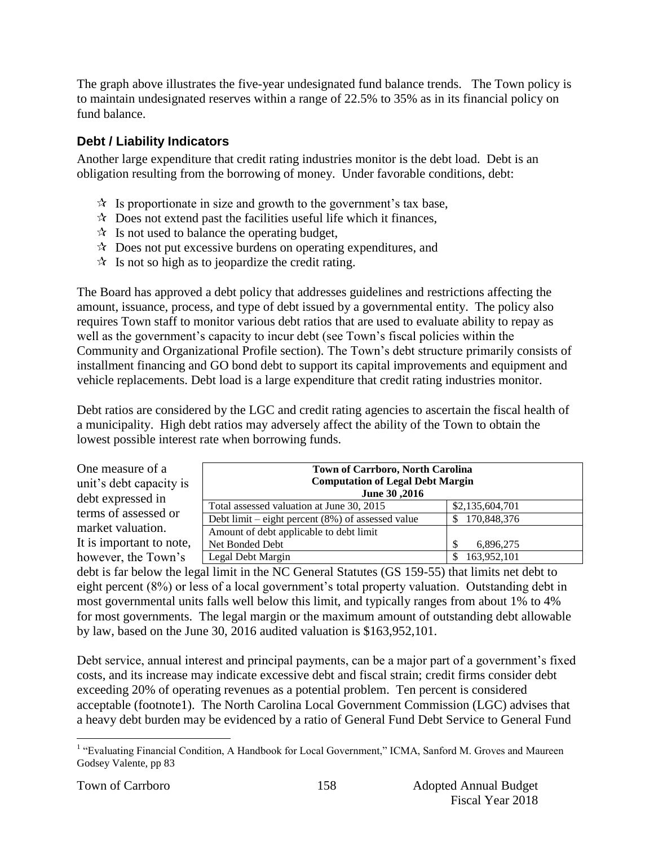The graph above illustrates the five-year undesignated fund balance trends. The Town policy is to maintain undesignated reserves within a range of 22.5% to 35% as in its financial policy on fund balance.

# **Debt / Liability Indicators**

Another large expenditure that credit rating industries monitor is the debt load. Debt is an obligation resulting from the borrowing of money. Under favorable conditions, debt:

- $\mathcal{R}$  Is proportionate in size and growth to the government's tax base,
- $\star$  Does not extend past the facilities useful life which it finances,
- $\mathcal{R}$  Is not used to balance the operating budget,
- $\lambda$  Does not put excessive burdens on operating expenditures, and
- $\mathcal{R}$  Is not so high as to jeopardize the credit rating.

The Board has approved a debt policy that addresses guidelines and restrictions affecting the amount, issuance, process, and type of debt issued by a governmental entity. The policy also requires Town staff to monitor various debt ratios that are used to evaluate ability to repay as well as the government's capacity to incur debt (see Town's fiscal policies within the Community and Organizational Profile section). The Town's debt structure primarily consists of installment financing and GO bond debt to support its capital improvements and equipment and vehicle replacements. Debt load is a large expenditure that credit rating industries monitor.

Debt ratios are considered by the LGC and credit rating agencies to ascertain the fiscal health of a municipality. High debt ratios may adversely affect the ability of the Town to obtain the lowest possible interest rate when borrowing funds.

| One measure of a<br>unit's debt capacity is<br>debt expressed in | <b>Town of Carrboro, North Carolina</b><br><b>Computation of Legal Debt Margin</b><br>June 30, 2016 |                 |  |  |  |  |
|------------------------------------------------------------------|-----------------------------------------------------------------------------------------------------|-----------------|--|--|--|--|
| terms of assessed or                                             | Total assessed valuation at June 30, 2015                                                           | \$2,135,604,701 |  |  |  |  |
|                                                                  | Debt limit – eight percent $(8\%)$ of assessed value                                                | \$170,848,376   |  |  |  |  |
| market valuation.                                                | Amount of debt applicable to debt limit                                                             |                 |  |  |  |  |
| It is important to note,                                         | Net Bonded Debt                                                                                     | 6,896,275       |  |  |  |  |
| however, the Town's                                              | Legal Debt Margin                                                                                   | 163,952,101     |  |  |  |  |

debt is far below the legal limit in the NC General Statutes (GS 159-55) that limits net debt to eight percent (8%) or less of a local government's total property valuation. Outstanding debt in most governmental units falls well below this limit, and typically ranges from about 1% to 4% for most governments. The legal margin or the maximum amount of outstanding debt allowable by law, based on the June 30, 2016 audited valuation is \$163,952,101.

Debt service, annual interest and principal payments, can be a major part of a government's fixed costs, and its increase may indicate excessive debt and fiscal strain; credit firms consider debt exceeding 20% of operating revenues as a potential problem. Ten percent is considered acceptable (footnote1). The North Carolina Local Government Commission (LGC) advises that a heavy debt burden may be evidenced by a ratio of General Fund Debt Service to General Fund

 1 "Evaluating Financial Condition, A Handbook for Local Government," ICMA, Sanford M. Groves and Maureen Godsey Valente, pp 83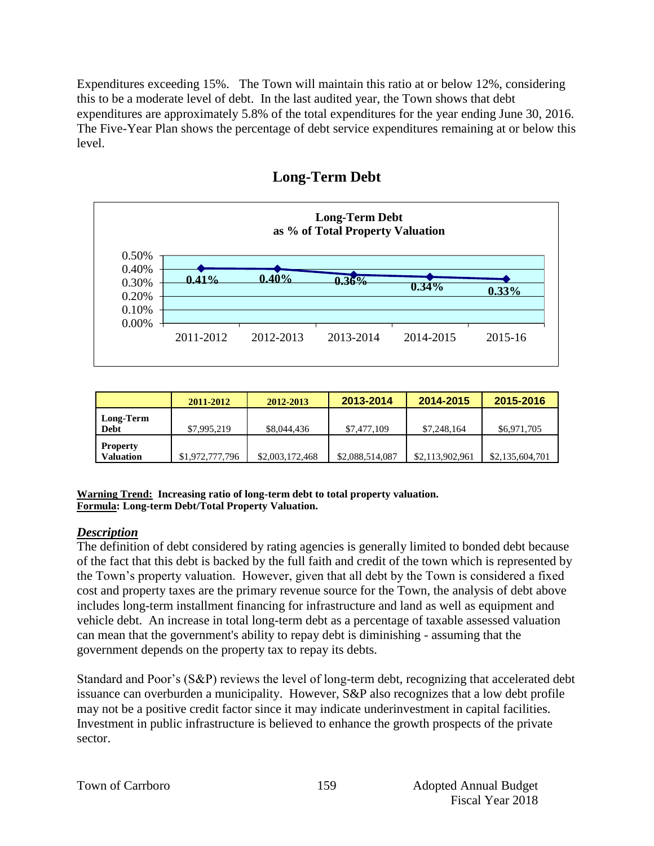Expenditures exceeding 15%. The Town will maintain this ratio at or below 12%, considering this to be a moderate level of debt. In the last audited year, the Town shows that debt expenditures are approximately 5.8% of the total expenditures for the year ending June 30, 2016. The Five-Year Plan shows the percentage of debt service expenditures remaining at or below this level.



# **Long-Term Debt**

|                              | 2011-2012       | 2012-2013       | 2013-2014       | 2014-2015       | 2015-2016       |
|------------------------------|-----------------|-----------------|-----------------|-----------------|-----------------|
| Long-Term<br><b>Debt</b>     | \$7,995,219     | \$8,044,436     | \$7,477,109     | \$7,248,164     | \$6,971,705     |
| <b>Property</b><br>Valuation | \$1,972,777,796 | \$2,003,172,468 | \$2,088,514,087 | \$2,113,902,961 | \$2,135,604,701 |

**Warning Trend: Increasing ratio of long-term debt to total property valuation. Formula: Long-term Debt/Total Property Valuation.**

#### *Description*

The definition of debt considered by rating agencies is generally limited to bonded debt because of the fact that this debt is backed by the full faith and credit of the town which is represented by the Town's property valuation. However, given that all debt by the Town is considered a fixed cost and property taxes are the primary revenue source for the Town, the analysis of debt above includes long-term installment financing for infrastructure and land as well as equipment and vehicle debt. An increase in total long-term debt as a percentage of taxable assessed valuation can mean that the government's ability to repay debt is diminishing - assuming that the government depends on the property tax to repay its debts.

Standard and Poor's (S&P) reviews the level of long-term debt, recognizing that accelerated debt issuance can overburden a municipality. However, S&P also recognizes that a low debt profile may not be a positive credit factor since it may indicate underinvestment in capital facilities. Investment in public infrastructure is believed to enhance the growth prospects of the private sector.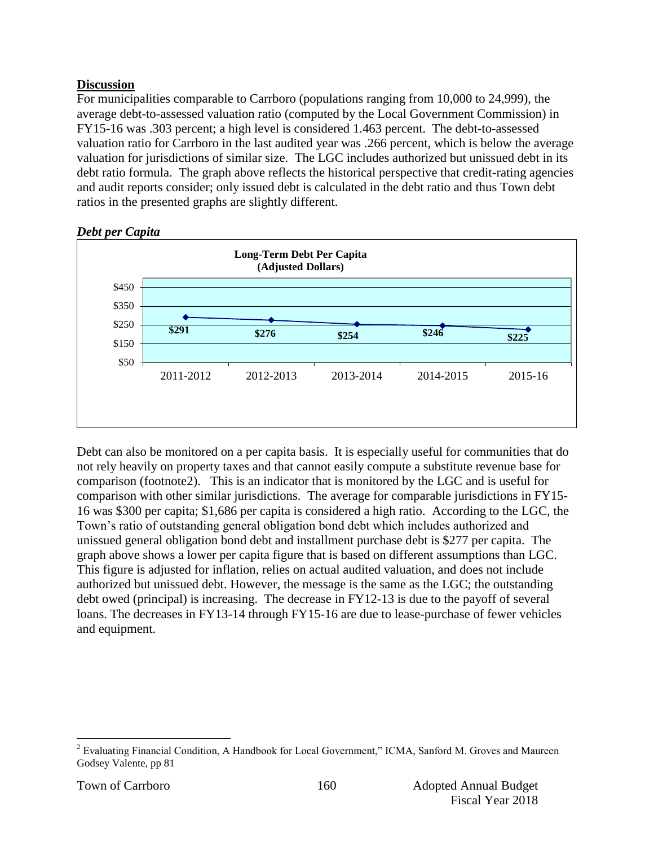### **Discussion**

For municipalities comparable to Carrboro (populations ranging from 10,000 to 24,999), the average debt-to-assessed valuation ratio (computed by the Local Government Commission) in FY15-16 was .303 percent; a high level is considered 1.463 percent. The debt-to-assessed valuation ratio for Carrboro in the last audited year was .266 percent, which is below the average valuation for jurisdictions of similar size. The LGC includes authorized but unissued debt in its debt ratio formula. The graph above reflects the historical perspective that credit-rating agencies and audit reports consider; only issued debt is calculated in the debt ratio and thus Town debt ratios in the presented graphs are slightly different.



*Debt per Capita*

Debt can also be monitored on a per capita basis. It is especially useful for communities that do not rely heavily on property taxes and that cannot easily compute a substitute revenue base for comparison (footnote2). This is an indicator that is monitored by the LGC and is useful for comparison with other similar jurisdictions. The average for comparable jurisdictions in FY15- 16 was \$300 per capita; \$1,686 per capita is considered a high ratio. According to the LGC, the Town's ratio of outstanding general obligation bond debt which includes authorized and unissued general obligation bond debt and installment purchase debt is \$277 per capita. The graph above shows a lower per capita figure that is based on different assumptions than LGC. This figure is adjusted for inflation, relies on actual audited valuation, and does not include authorized but unissued debt. However, the message is the same as the LGC; the outstanding debt owed (principal) is increasing. The decrease in FY12-13 is due to the payoff of several loans. The decreases in FY13-14 through FY15-16 are due to lease-purchase of fewer vehicles and equipment.

 $\overline{a}$ <sup>2</sup> Evaluating Financial Condition, A Handbook for Local Government," ICMA, Sanford M. Groves and Maureen Godsey Valente, pp 81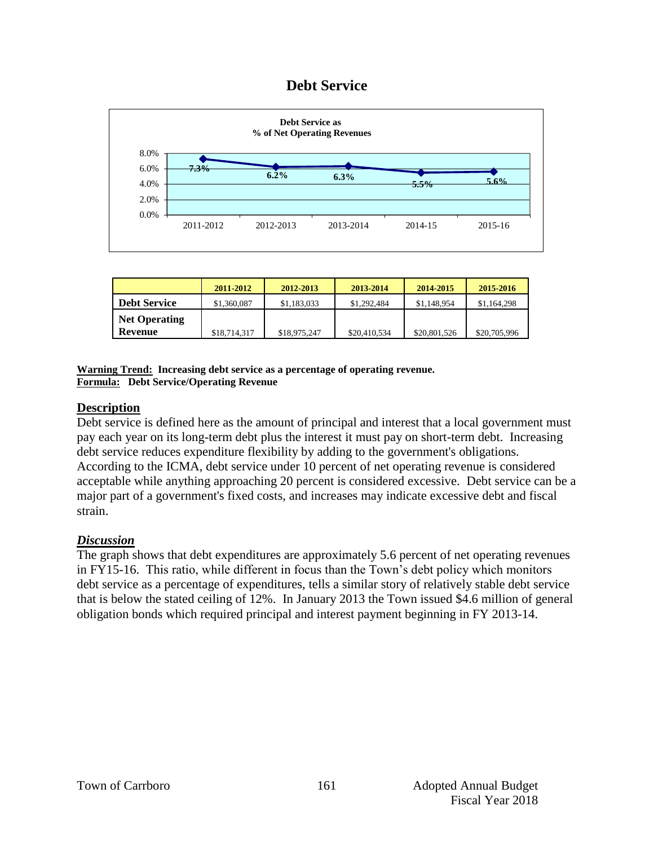# **Debt Service**



|                      | 2011-2012    | 2012-2013    | 2013-2014    | 2014-2015    | 2015-2016    |
|----------------------|--------------|--------------|--------------|--------------|--------------|
| <b>Debt Service</b>  | \$1,360,087  | \$1,183,033  | \$1,292,484  | \$1,148,954  | \$1,164,298  |
| <b>Net Operating</b> |              |              |              |              |              |
| Revenue              | \$18,714,317 | \$18,975,247 | \$20,410,534 | \$20,801,526 | \$20,705,996 |

**Warning Trend: Increasing debt service as a percentage of operating revenue. Formula: Debt Service/Operating Revenue**

#### **Description**

Debt service is defined here as the amount of principal and interest that a local government must pay each year on its long-term debt plus the interest it must pay on short-term debt. Increasing debt service reduces expenditure flexibility by adding to the government's obligations. According to the ICMA, debt service under 10 percent of net operating revenue is considered acceptable while anything approaching 20 percent is considered excessive. Debt service can be a major part of a government's fixed costs, and increases may indicate excessive debt and fiscal strain.

#### *Discussion*

The graph shows that debt expenditures are approximately 5.6 percent of net operating revenues in FY15-16. This ratio, while different in focus than the Town's debt policy which monitors debt service as a percentage of expenditures, tells a similar story of relatively stable debt service that is below the stated ceiling of 12%. In January 2013 the Town issued \$4.6 million of general obligation bonds which required principal and interest payment beginning in FY 2013-14.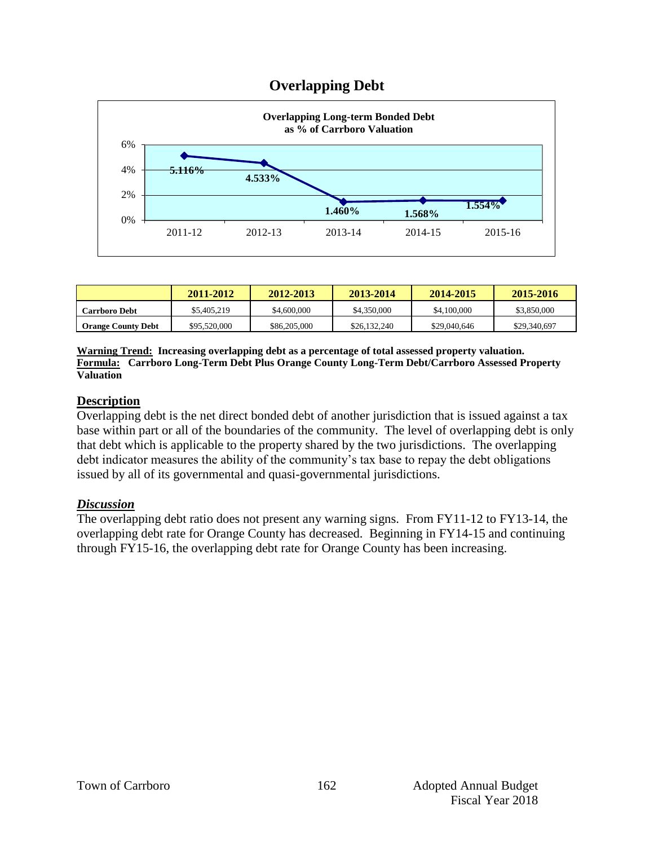# **Overlapping Debt**



|                           | 2011-2012    | 2012-2013    | 2013-2014    | 2014-2015    | 2015-2016    |
|---------------------------|--------------|--------------|--------------|--------------|--------------|
| <b>Carrboro Debt</b>      | \$5,405,219  | \$4,600,000  | \$4,350,000  | \$4,100,000  | \$3,850,000  |
| <b>Orange County Debt</b> | \$95,520,000 | \$86,205,000 | \$26,132,240 | \$29,040,646 | \$29,340,697 |

**Warning Trend: Increasing overlapping debt as a percentage of total assessed property valuation. Formula: Carrboro Long-Term Debt Plus Orange County Long-Term Debt/Carrboro Assessed Property Valuation**

#### **Description**

Overlapping debt is the net direct bonded debt of another jurisdiction that is issued against a tax base within part or all of the boundaries of the community. The level of overlapping debt is only that debt which is applicable to the property shared by the two jurisdictions. The overlapping debt indicator measures the ability of the community's tax base to repay the debt obligations issued by all of its governmental and quasi-governmental jurisdictions.

#### *Discussion*

The overlapping debt ratio does not present any warning signs. From FY11-12 to FY13-14, the overlapping debt rate for Orange County has decreased. Beginning in FY14-15 and continuing through FY15-16, the overlapping debt rate for Orange County has been increasing.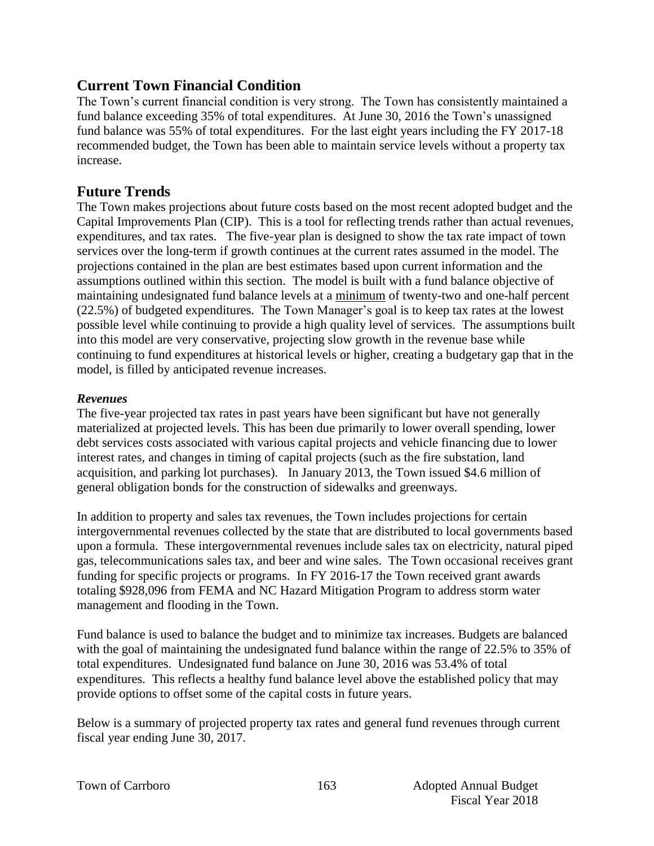# **Current Town Financial Condition**

The Town's current financial condition is very strong. The Town has consistently maintained a fund balance exceeding 35% of total expenditures. At June 30, 2016 the Town's unassigned fund balance was 55% of total expenditures. For the last eight years including the FY 2017-18 recommended budget, the Town has been able to maintain service levels without a property tax increase.

# **Future Trends**

The Town makes projections about future costs based on the most recent adopted budget and the Capital Improvements Plan (CIP). This is a tool for reflecting trends rather than actual revenues, expenditures, and tax rates. The five-year plan is designed to show the tax rate impact of town services over the long-term if growth continues at the current rates assumed in the model. The projections contained in the plan are best estimates based upon current information and the assumptions outlined within this section. The model is built with a fund balance objective of maintaining undesignated fund balance levels at a minimum of twenty-two and one-half percent (22.5%) of budgeted expenditures. The Town Manager's goal is to keep tax rates at the lowest possible level while continuing to provide a high quality level of services. The assumptions built into this model are very conservative, projecting slow growth in the revenue base while continuing to fund expenditures at historical levels or higher, creating a budgetary gap that in the model, is filled by anticipated revenue increases.

#### *Revenues*

The five-year projected tax rates in past years have been significant but have not generally materialized at projected levels. This has been due primarily to lower overall spending, lower debt services costs associated with various capital projects and vehicle financing due to lower interest rates, and changes in timing of capital projects (such as the fire substation, land acquisition, and parking lot purchases). In January 2013, the Town issued \$4.6 million of general obligation bonds for the construction of sidewalks and greenways.

In addition to property and sales tax revenues, the Town includes projections for certain intergovernmental revenues collected by the state that are distributed to local governments based upon a formula. These intergovernmental revenues include sales tax on electricity, natural piped gas, telecommunications sales tax, and beer and wine sales. The Town occasional receives grant funding for specific projects or programs. In FY 2016-17 the Town received grant awards totaling \$928,096 from FEMA and NC Hazard Mitigation Program to address storm water management and flooding in the Town.

Fund balance is used to balance the budget and to minimize tax increases. Budgets are balanced with the goal of maintaining the undesignated fund balance within the range of 22.5% to 35% of total expenditures. Undesignated fund balance on June 30, 2016 was 53.4% of total expenditures. This reflects a healthy fund balance level above the established policy that may provide options to offset some of the capital costs in future years.

Below is a summary of projected property tax rates and general fund revenues through current fiscal year ending June 30, 2017.

|  |  | Town of Carrboro |
|--|--|------------------|
|--|--|------------------|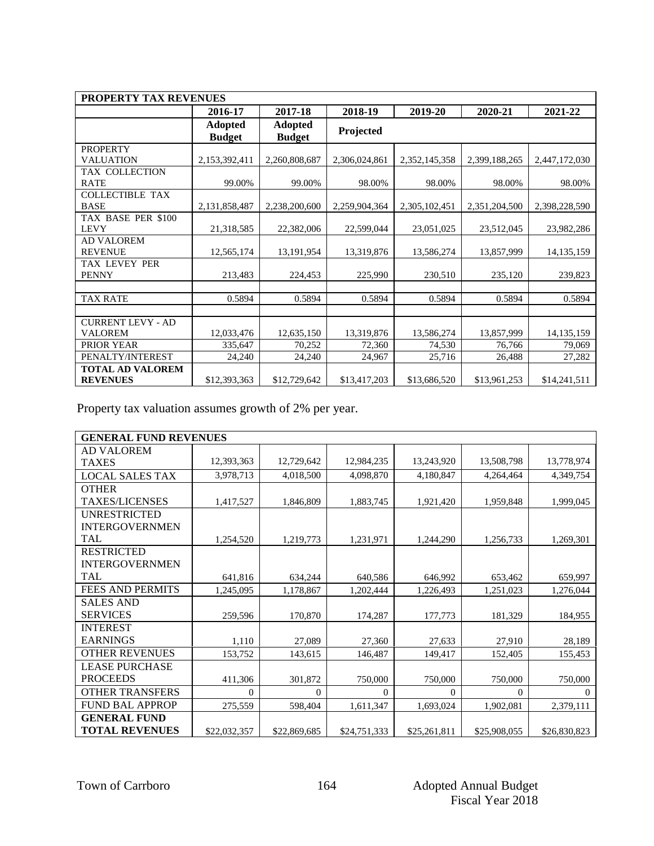| <b>PROPERTY TAX REVENUES</b>               |                                 |                                 |                      |                      |                      |                        |  |  |
|--------------------------------------------|---------------------------------|---------------------------------|----------------------|----------------------|----------------------|------------------------|--|--|
|                                            | 2016-17                         | 2017-18                         | 2018-19              | 2019-20              | 2020-21              | 2021-22                |  |  |
|                                            | <b>Adopted</b><br><b>Budget</b> | <b>Adopted</b><br><b>Budget</b> | Projected            |                      |                      |                        |  |  |
| <b>PROPERTY</b><br><b>VALUATION</b>        | 2,153,392,411                   | 2,260,808,687                   | 2,306,024,861        | 2,352,145,358        | 2,399,188,265        | 2,447,172,030          |  |  |
| TAX COLLECTION<br><b>RATE</b>              | 99.00%                          | 99.00%                          | 98.00%               | 98.00%               | 98.00%               | 98.00%                 |  |  |
| <b>COLLECTIBLE TAX</b><br><b>BASE</b>      | 2,131,858,487                   | 2,238,200,600                   | 2,259,904,364        | 2,305,102,451        | 2,351,204,500        | 2,398,228,590          |  |  |
| TAX BASE PER \$100<br><b>LEVY</b>          | 21,318,585                      | 22,382,006                      | 22,599,044           | 23,051,025           | 23,512,045           | 23,982,286             |  |  |
| <b>AD VALOREM</b><br><b>REVENUE</b>        | 12,565,174                      | 13,191,954                      | 13,319,876           | 13,586,274           | 13,857,999           | 14, 135, 159           |  |  |
| <b>TAX LEVEY PER</b><br><b>PENNY</b>       | 213,483                         | 224,453                         | 225,990              | 230,510              | 235,120              | 239,823                |  |  |
| <b>TAX RATE</b>                            | 0.5894                          | 0.5894                          | 0.5894               | 0.5894               | 0.5894               | 0.5894                 |  |  |
| <b>CURRENT LEVY - AD</b>                   |                                 |                                 |                      |                      |                      |                        |  |  |
| <b>VALOREM</b><br>PRIOR YEAR               | 12,033,476<br>335,647           | 12,635,150<br>70,252            | 13,319,876<br>72,360 | 13,586,274<br>74,530 | 13,857,999<br>76,766 | 14, 135, 159<br>79,069 |  |  |
| PENALTY/INTEREST                           | 24,240                          | 24,240                          | 24,967               | 25,716               | 26,488               | 27,282                 |  |  |
| <b>TOTAL AD VALOREM</b><br><b>REVENUES</b> | \$12,393,363                    | \$12,729,642                    | \$13,417,203         | \$13,686,520         | \$13,961,253         | \$14,241,511           |  |  |

Property tax valuation assumes growth of 2% per year.

| <b>GENERAL FUND REVENUES</b> |              |              |                |                |                |              |  |
|------------------------------|--------------|--------------|----------------|----------------|----------------|--------------|--|
| <b>AD VALOREM</b>            |              |              |                |                |                |              |  |
| <b>TAXES</b>                 | 12,393,363   | 12,729,642   | 12,984,235     | 13,243,920     | 13,508,798     | 13,778,974   |  |
| <b>LOCAL SALES TAX</b>       | 3,978,713    | 4,018,500    | 4,098,870      | 4,180,847      | 4,264,464      | 4,349,754    |  |
| <b>OTHER</b>                 |              |              |                |                |                |              |  |
| <b>TAXES/LICENSES</b>        | 1,417,527    | 1,846,809    | 1,883,745      | 1,921,420      | 1,959,848      | 1,999,045    |  |
| <b>UNRESTRICTED</b>          |              |              |                |                |                |              |  |
| <b>INTERGOVERNMEN</b>        |              |              |                |                |                |              |  |
| <b>TAL</b>                   | 1,254,520    | 1,219,773    | 1,231,971      | 1,244,290      | 1,256,733      | 1,269,301    |  |
| <b>RESTRICTED</b>            |              |              |                |                |                |              |  |
| <b>INTERGOVERNMEN</b>        |              |              |                |                |                |              |  |
| <b>TAL</b>                   | 641,816      | 634,244      | 640,586        | 646,992        | 653,462        | 659,997      |  |
| <b>FEES AND PERMITS</b>      | 1,245,095    | 1,178,867    | 1,202,444      | 1,226,493      | 1,251,023      | 1,276,044    |  |
| <b>SALES AND</b>             |              |              |                |                |                |              |  |
| <b>SERVICES</b>              | 259,596      | 170,870      | 174,287        | 177,773        | 181,329        | 184,955      |  |
| <b>INTEREST</b>              |              |              |                |                |                |              |  |
| <b>EARNINGS</b>              | 1,110        | 27,089       | 27,360         | 27,633         | 27,910         | 28,189       |  |
| <b>OTHER REVENUES</b>        | 153,752      | 143,615      | 146,487        | 149,417        | 152,405        | 155,453      |  |
| <b>LEASE PURCHASE</b>        |              |              |                |                |                |              |  |
| <b>PROCEEDS</b>              | 411,306      | 301,872      | 750,000        | 750,000        | 750,000        | 750,000      |  |
| <b>OTHER TRANSFERS</b>       | $\mathbf{0}$ | $\theta$     | $\overline{0}$ | $\overline{0}$ | $\overline{0}$ | $\mathbf{0}$ |  |
| <b>FUND BAL APPROP</b>       | 275,559      | 598,404      | 1,611,347      | 1,693,024      | 1,902,081      | 2,379,111    |  |
| <b>GENERAL FUND</b>          |              |              |                |                |                |              |  |
| <b>TOTAL REVENUES</b>        | \$22,032,357 | \$22,869,685 | \$24,751,333   | \$25,261,811   | \$25,908,055   | \$26,830,823 |  |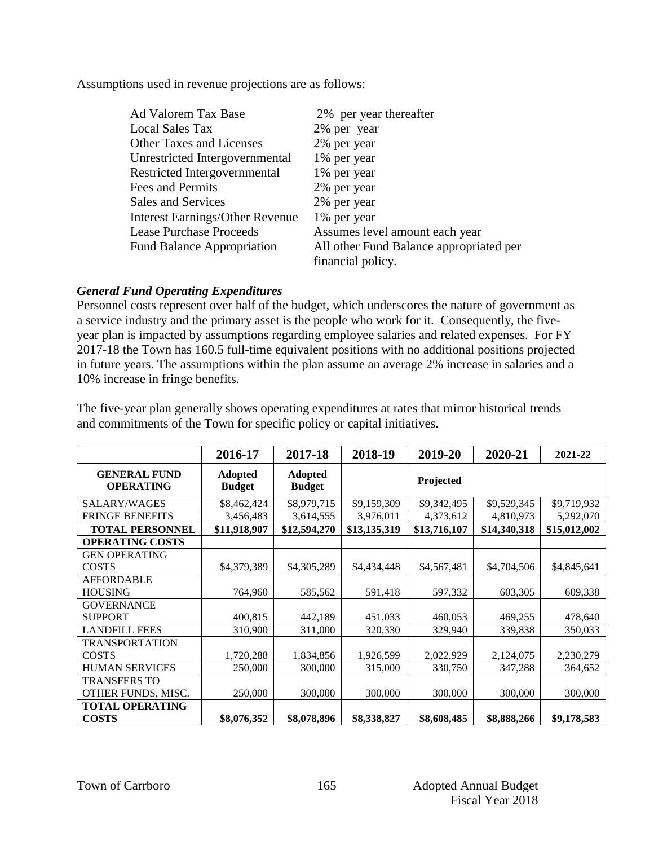Assumptions used in revenue projections are as follows:

| Ad Valorem Tax Base                    | 2% per year thereafter                  |
|----------------------------------------|-----------------------------------------|
| <b>Local Sales Tax</b>                 | 2% per year                             |
| <b>Other Taxes and Licenses</b>        | 2% per year                             |
| Unrestricted Intergovernmental         | 1% per year                             |
| Restricted Intergovernmental           | 1% per year                             |
| Fees and Permits                       | 2% per year                             |
| Sales and Services                     | 2% per year                             |
| <b>Interest Earnings/Other Revenue</b> | 1% per year                             |
| <b>Lease Purchase Proceeds</b>         | Assumes level amount each year          |
| <b>Fund Balance Appropriation</b>      | All other Fund Balance appropriated per |
|                                        | financial policy.                       |

#### *General Fund Operating Expenditures*

Personnel costs represent over half of the budget, which underscores the nature of government as a service industry and the primary asset is the people who work for it. Consequently, the fiveyear plan is impacted by assumptions regarding employee salaries and related expenses. For FY 2017-18 the Town has 160.5 full-time equivalent positions with no additional positions projected in future years. The assumptions within the plan assume an average 2% increase in salaries and a 10% increase in fringe benefits.

The five-year plan generally shows operating expenditures at rates that mirror historical trends and commitments of the Town for specific policy or capital initiatives.

|                                         | 2016-17                         | 2017-18                  | 2018-19      | 2019-20      | 2020-21      | 2021-22      |
|-----------------------------------------|---------------------------------|--------------------------|--------------|--------------|--------------|--------------|
| <b>GENERAL FUND</b><br><b>OPERATING</b> | <b>Adopted</b><br><b>Budget</b> | Adopted<br><b>Budget</b> | Projected    |              |              |              |
| SALARY/WAGES                            | \$8,462,424                     | \$8,979,715              | \$9,159,309  | \$9,342,495  | \$9,529,345  | \$9,719,932  |
| <b>FRINGE BENEFITS</b>                  | 3,456,483                       | 3,614,555                | 3,976,011    | 4,373,612    | 4,810,973    | 5,292,070    |
| <b>TOTAL PERSONNEL</b>                  | \$11,918,907                    | \$12,594,270             | \$13,135,319 | \$13,716,107 | \$14,340,318 | \$15,012,002 |
| <b>OPERATING COSTS</b>                  |                                 |                          |              |              |              |              |
| <b>GEN OPERATING</b>                    |                                 |                          |              |              |              |              |
| <b>COSTS</b>                            | \$4,379,389                     | \$4,305,289              | \$4,434,448  | \$4,567,481  | \$4,704,506  | \$4,845,641  |
| <b>AFFORDABLE</b>                       |                                 |                          |              |              |              |              |
| <b>HOUSING</b>                          | 764,960                         | 585,562                  | 591,418      | 597,332      | 603,305      | 609,338      |
| <b>GOVERNANCE</b>                       |                                 |                          |              |              |              |              |
| <b>SUPPORT</b>                          | 400,815                         | 442,189                  | 451,033      | 460,053      | 469,255      | 478,640      |
| <b>LANDFILL FEES</b>                    | 310,900                         | 311,000                  | 320,330      | 329,940      | 339,838      | 350,033      |
| <b>TRANSPORTATION</b>                   |                                 |                          |              |              |              |              |
| <b>COSTS</b>                            | 1,720,288                       | 1,834,856                | 1,926,599    | 2,022,929    | 2,124,075    | 2,230,279    |
| <b>HUMAN SERVICES</b>                   | 250,000                         | 300,000                  | 315,000      | 330,750      | 347,288      | 364,652      |
| <b>TRANSFERS TO</b>                     |                                 |                          |              |              |              |              |
| OTHER FUNDS, MISC.                      | 250,000                         | 300,000                  | 300,000      | 300,000      | 300,000      | 300,000      |
| <b>TOTAL OPERATING</b>                  |                                 |                          |              |              |              |              |
| <b>COSTS</b>                            | \$8,076,352                     | \$8,078,896              | \$8,338,827  | \$8,608,485  | \$8,888,266  | \$9,178,583  |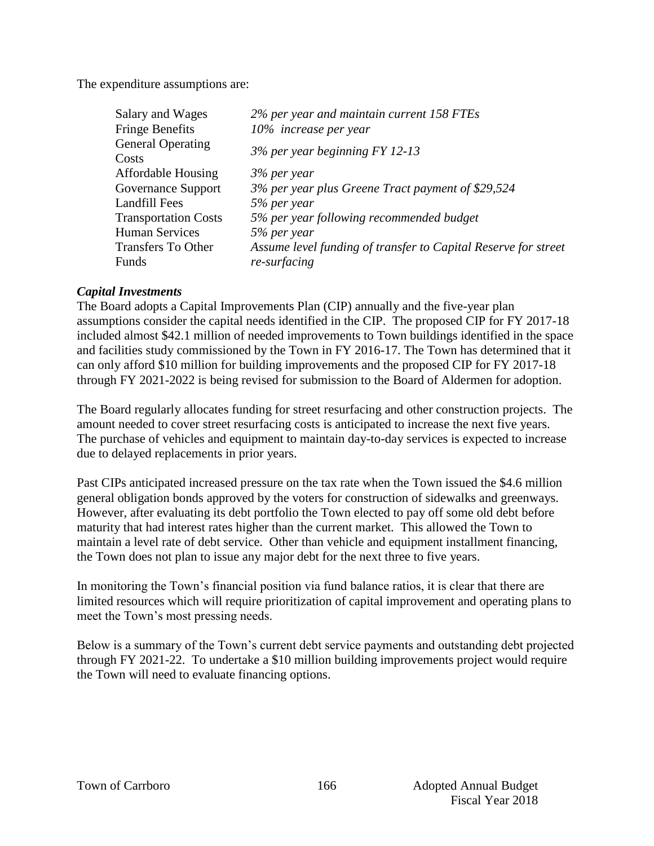The expenditure assumptions are:

| Salary and Wages                  | 2% per year and maintain current 158 FTEs                      |
|-----------------------------------|----------------------------------------------------------------|
| <b>Fringe Benefits</b>            | 10% increase per year                                          |
| <b>General Operating</b><br>Costs | $3\%$ per year beginning FY 12-13                              |
| <b>Affordable Housing</b>         | 3% per year                                                    |
| Governance Support                | 3% per year plus Greene Tract payment of \$29,524              |
| Landfill Fees                     | 5% per year                                                    |
| <b>Transportation Costs</b>       | 5% per year following recommended budget                       |
| <b>Human Services</b>             | 5% per year                                                    |
| <b>Transfers To Other</b>         | Assume level funding of transfer to Capital Reserve for street |
| Funds                             | re-surfacing                                                   |

#### *Capital Investments*

The Board adopts a Capital Improvements Plan (CIP) annually and the five-year plan assumptions consider the capital needs identified in the CIP. The proposed CIP for FY 2017-18 included almost \$42.1 million of needed improvements to Town buildings identified in the space and facilities study commissioned by the Town in FY 2016-17. The Town has determined that it can only afford \$10 million for building improvements and the proposed CIP for FY 2017-18 through FY 2021-2022 is being revised for submission to the Board of Aldermen for adoption.

The Board regularly allocates funding for street resurfacing and other construction projects. The amount needed to cover street resurfacing costs is anticipated to increase the next five years. The purchase of vehicles and equipment to maintain day-to-day services is expected to increase due to delayed replacements in prior years.

Past CIPs anticipated increased pressure on the tax rate when the Town issued the \$4.6 million general obligation bonds approved by the voters for construction of sidewalks and greenways. However, after evaluating its debt portfolio the Town elected to pay off some old debt before maturity that had interest rates higher than the current market. This allowed the Town to maintain a level rate of debt service. Other than vehicle and equipment installment financing, the Town does not plan to issue any major debt for the next three to five years.

In monitoring the Town's financial position via fund balance ratios, it is clear that there are limited resources which will require prioritization of capital improvement and operating plans to meet the Town's most pressing needs.

Below is a summary of the Town's current debt service payments and outstanding debt projected through FY 2021-22. To undertake a \$10 million building improvements project would require the Town will need to evaluate financing options.